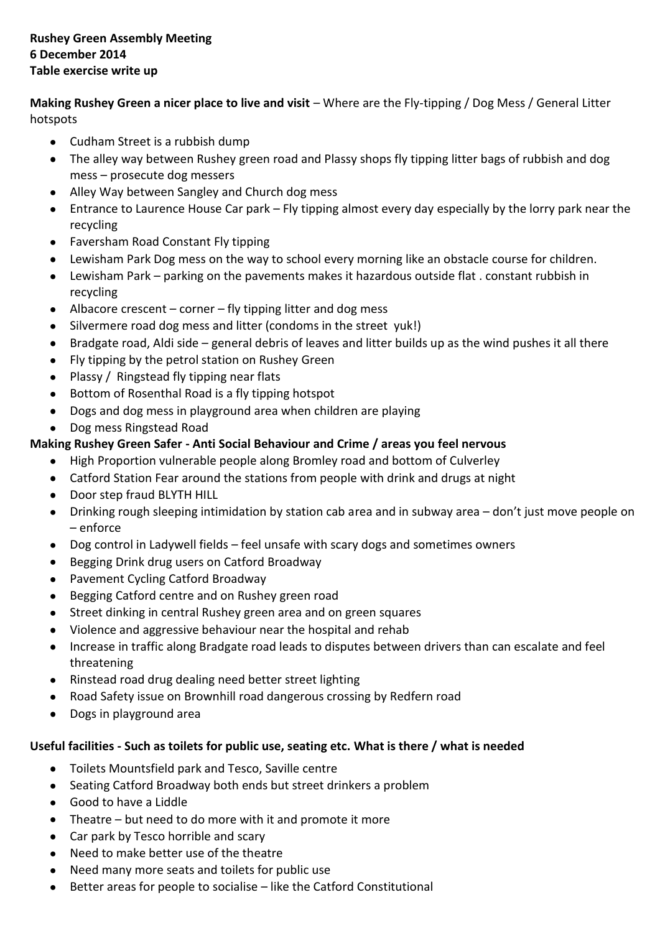**Making Rushey Green a nicer place to live and visit** – Where are the Fly-tipping / Dog Mess / General Litter hotspots

- Cudham Street is a rubbish dump
- The alley way between Rushey green road and Plassy shops fly tipping litter bags of rubbish and dog mess – prosecute dog messers
- Alley Way between Sangley and Church dog mess
- Entrance to Laurence House Car park Fly tipping almost every day especially by the lorry park near the recycling
- Faversham Road Constant Fly tipping
- Lewisham Park Dog mess on the way to school every morning like an obstacle course for children.
- Lewisham Park parking on the pavements makes it hazardous outside flat . constant rubbish in recycling
- $\bullet$  Albacore crescent corner fly tipping litter and dog mess
- Silvermere road dog mess and litter (condoms in the street yuk!)
- Bradgate road, Aldi side general debris of leaves and litter builds up as the wind pushes it all there
- Fly tipping by the petrol station on Rushey Green
- Plassy / Ringstead fly tipping near flats
- Bottom of Rosenthal Road is a fly tipping hotspot  $\bullet$
- Dogs and dog mess in playground area when children are playing
- Dog mess Ringstead Road

# **Making Rushey Green Safer - Anti Social Behaviour and Crime / areas you feel nervous**

- High Proportion vulnerable people along Bromley road and bottom of Culverley
- Catford Station Fear around the stations from people with drink and drugs at night
- Door step fraud BLYTH HILL
- Drinking rough sleeping intimidation by station cab area and in subway area don't just move people on – enforce
- Dog control in Ladywell fields feel unsafe with scary dogs and sometimes owners
- Begging Drink drug users on Catford Broadway
- Pavement Cycling Catford Broadway
- Begging Catford centre and on Rushey green road  $\bullet$
- Street dinking in central Rushey green area and on green squares
- $\bullet$ Violence and aggressive behaviour near the hospital and rehab
- Increase in traffic along Bradgate road leads to disputes between drivers than can escalate and feel threatening
- Rinstead road drug dealing need better street lighting
- Road Safety issue on Brownhill road dangerous crossing by Redfern road
- Dogs in playground area  $\bullet$

### **Useful facilities - Such as toilets for public use, seating etc. What is there / what is needed**

- Toilets Mountsfield park and Tesco, Saville centre
- Seating Catford Broadway both ends but street drinkers a problem
- Good to have a Liddle
- Theatre but need to do more with it and promote it more
- Car park by Tesco horrible and scary
- Need to make better use of the theatre  $\bullet$
- Need many more seats and toilets for public use
- Better areas for people to socialise like the Catford Constitutional  $\bullet$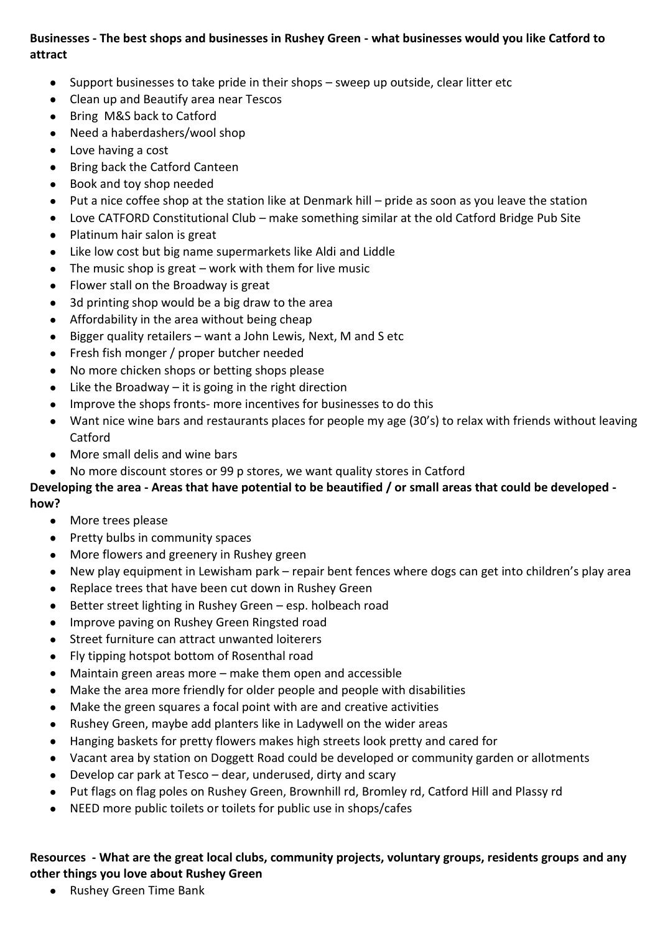# **Businesses - The best shops and businesses in Rushey Green - what businesses would you like Catford to attract**

- Support businesses to take pride in their shops sweep up outside, clear litter etc
- Clean up and Beautify area near Tescos
- Bring M&S back to Catford
- Need a haberdashers/wool shop
- Love having a cost
- Bring back the Catford Canteen  $\bullet$
- Book and toy shop needed  $\bullet$
- Put a nice coffee shop at the station like at Denmark hill pride as soon as you leave the station  $\bullet$
- Love CATFORD Constitutional Club make something similar at the old Catford Bridge Pub Site
- $\bullet$ Platinum hair salon is great
- Like low cost but big name supermarkets like Aldi and Liddle
- The music shop is great work with them for live music  $\bullet$
- Flower stall on the Broadway is great
- 3d printing shop would be a big draw to the area  $\bullet$
- $\bullet$ Affordability in the area without being cheap
- Bigger quality retailers want a John Lewis, Next, M and S etc  $\bullet$
- Fresh fish monger / proper butcher needed  $\bullet$
- No more chicken shops or betting shops please
- Like the Broadway  $-$  it is going in the right direction  $\bullet$
- Improve the shops fronts- more incentives for businesses to do this
- Want nice wine bars and restaurants places for people my age (30's) to relax with friends without leaving  $\bullet$ Catford
- More small delis and wine bars
- No more discount stores or 99 p stores, we want quality stores in Catford

#### **Developing the area - Areas that have potential to be beautified / or small areas that could be developed how?**

- More trees please
- Pretty bulbs in community spaces
- More flowers and greenery in Rushey green
- New play equipment in Lewisham park repair bent fences where dogs can get into children's play area  $\bullet$
- Replace trees that have been cut down in Rushey Green  $\bullet$
- Better street lighting in Rushey Green esp. holbeach road  $\bullet$
- Improve paving on Rushey Green Ringsted road
- Street furniture can attract unwanted loiterers  $\bullet$
- Fly tipping hotspot bottom of Rosenthal road
- Maintain green areas more make them open and accessible  $\bullet$
- Make the area more friendly for older people and people with disabilities
- Make the green squares a focal point with are and creative activities
- Rushey Green, maybe add planters like in Ladywell on the wider areas
- Hanging baskets for pretty flowers makes high streets look pretty and cared for  $\bullet$
- Vacant area by station on Doggett Road could be developed or community garden or allotments
- Develop car park at Tesco dear, underused, dirty and scary
- Put flags on flag poles on Rushey Green, Brownhill rd, Bromley rd, Catford Hill and Plassy rd  $\bullet$
- NEED more public toilets or toilets for public use in shops/cafes

# **Resources - What are the great local clubs, community projects, voluntary groups, residents groups and any other things you love about Rushey Green**

Rushey Green Time Bank